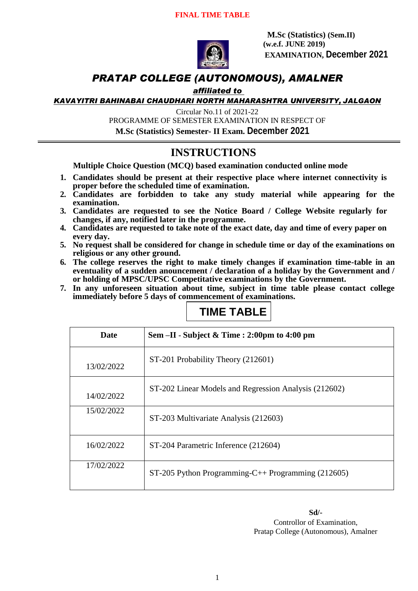

**M.Sc (Statistics) (Sem.II) (w.e.f. JUNE 2019) EXAMINATION, December 2021**

### *PRATAP COLLEGE (AUTONOMOUS), AMALNER*

#### *affiliated to*

*KAVAYITRI BAHINABAI CHAUDHARI NORTH MAHARASHTRA UNIVERSITY, JALGAON*

Circular No.11 of 2021-22

PROGRAMME OF SEMESTER EXAMINATION IN RESPECT OF

**M.Sc (Statistics) Semester- II Exam. December 2021**

### **INSTRUCTIONS**

**Multiple Choice Question (MCQ) based examination conducted online mode**

- **1. Candidates should be present at their respective place where internet connectivity is proper before the scheduled time of examination.**
- **2. Candidates are forbidden to take any study material while appearing for the examination.**
- **3. Candidates are requested to see the Notice Board / College Website regularly for changes, if any, notified later in the programme.**
- **4. Candidates are requested to take note of the exact date, day and time of every paper on every day.**
- **5. No request shall be considered for change in schedule time or day of the examinations on religious or any other ground.**
- **6. The college reserves the right to make timely changes if examination time-table in an eventuality of a sudden anouncement / declaration of a holiday by the Government and / or holding of MPSC/UPSC Competitative examinations by the Government.**
- **7. In any unforeseen situation about time, subject in time table please contact college immediately before 5 days of commencement of examinations.**

# **TIME TABLE**

| <b>Date</b> | Sem $-II$ - Subject & Time : 2:00pm to 4:00 pm        |
|-------------|-------------------------------------------------------|
| 13/02/2022  | ST-201 Probability Theory (212601)                    |
| 14/02/2022  | ST-202 Linear Models and Regression Analysis (212602) |
| 15/02/2022  | ST-203 Multivariate Analysis (212603)                 |
| 16/02/2022  | ST-204 Parametric Inference (212604)                  |
| 17/02/2022  | ST-205 Python Programming-C++ Programming $(212605)$  |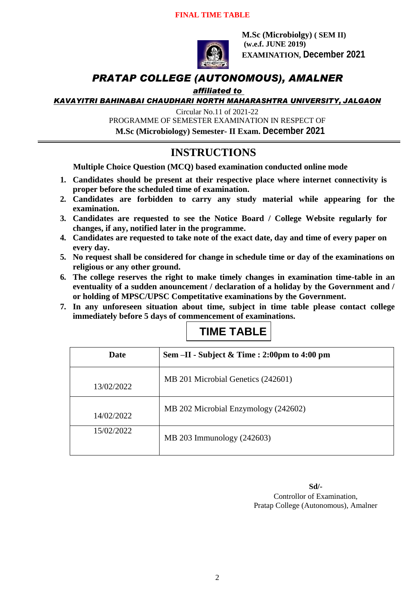#### **FINAL TIME TABLE**



**M.Sc (Microbiolgy) ( SEM II) (w.e.f. JUNE 2019) EXAMINATION, December 2021**

#### *PRATAP COLLEGE (AUTONOMOUS), AMALNER*

#### *affiliated to*

*KAVAYITRI BAHINABAI CHAUDHARI NORTH MAHARASHTRA UNIVERSITY, JALGAON*

Circular No.11 of 2021-22

PROGRAMME OF SEMESTER EXAMINATION IN RESPECT OF

**M.Sc (Microbiology) Semester- II Exam. December 2021**

#### **INSTRUCTIONS**

**Multiple Choice Question (MCQ) based examination conducted online mode**

- **1. Candidates should be present at their respective place where internet connectivity is proper before the scheduled time of examination.**
- **2. Candidates are forbidden to carry any study material while appearing for the examination.**
- **3. Candidates are requested to see the Notice Board / College Website regularly for changes, if any, notified later in the programme.**
- **4. Candidates are requested to take note of the exact date, day and time of every paper on every day.**
- **5. No request shall be considered for change in schedule time or day of the examinations on religious or any other ground.**
- **6. The college reserves the right to make timely changes in examination time-table in an eventuality of a sudden anouncement / declaration of a holiday by the Government and / or holding of MPSC/UPSC Competitative examinations by the Government.**
- **7. In any unforeseen situation about time, subject in time table please contact college immediately before 5 days of commencement of examinations.**

# **TIME TABLE**

| Date       | Sem $-II$ - Subject & Time : 2:00pm to 4:00 pm |
|------------|------------------------------------------------|
| 13/02/2022 | MB 201 Microbial Genetics (242601)             |
| 14/02/2022 | MB 202 Microbial Enzymology (242602)           |
| 15/02/2022 | MB 203 Immunology (242603)                     |

**Sd/-**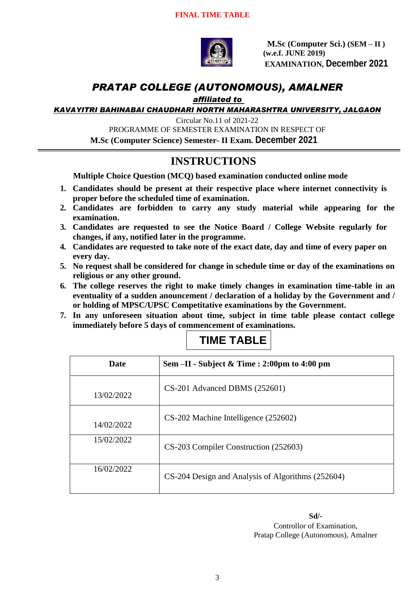

**M.Sc (Computer Sci.) (SEM – II ) (w.e.f. JUNE 2019) EXAMINATION, December 2021**

### *PRATAP COLLEGE (AUTONOMOUS), AMALNER*

#### *affiliated to*

*KAVAYITRI BAHINABAI CHAUDHARI NORTH MAHARASHTRA UNIVERSITY, JALGAON*

Circular No.11 of 2021-22

PROGRAMME OF SEMESTER EXAMINATION IN RESPECT OF

**M.Sc (Computer Science) Semester- II Exam. December 2021**

## **INSTRUCTIONS**

**Multiple Choice Question (MCQ) based examination conducted online mode**

- **1. Candidates should be present at their respective place where internet connectivity is proper before the scheduled time of examination.**
- **2. Candidates are forbidden to carry any study material while appearing for the examination.**
- **3. Candidates are requested to see the Notice Board / College Website regularly for changes, if any, notified later in the programme.**
- **4. Candidates are requested to take note of the exact date, day and time of every paper on every day.**
- **5. No request shall be considered for change in schedule time or day of the examinations on religious or any other ground.**
- **6. The college reserves the right to make timely changes in examination time-table in an eventuality of a sudden anouncement / declaration of a holiday by the Government and / or holding of MPSC/UPSC Competitative examinations by the Government.**
- **7. In any unforeseen situation about time, subject in time table please contact college immediately before 5 days of commencement of examinations.**

| <b>Date</b> | Sem $-II$ - Subject & Time : 2:00pm to 4:00 pm    |
|-------------|---------------------------------------------------|
| 13/02/2022  | $CS-201$ Advanced DBMS $(252601)$                 |
| 14/02/2022  | CS-202 Machine Intelligence (252602)              |
| 15/02/2022  | CS-203 Compiler Construction (252603)             |
| 16/02/2022  | CS-204 Design and Analysis of Algorithms (252604) |

### **TIME TABLE**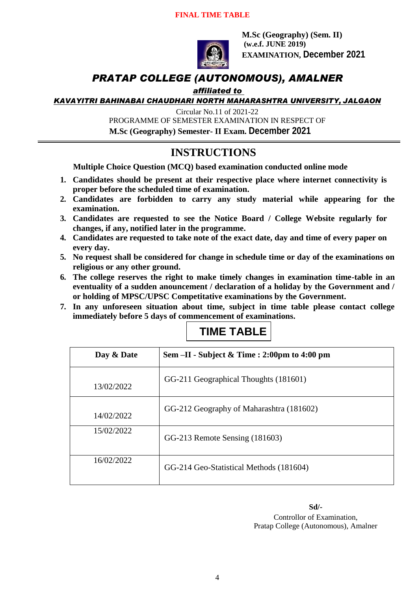#### **FINAL TIME TABLE**



**M.Sc (Geography) (Sem. II) (w.e.f. JUNE 2019) EXAMINATION, December 2021**

### *PRATAP COLLEGE (AUTONOMOUS), AMALNER*

#### *affiliated to*

*KAVAYITRI BAHINABAI CHAUDHARI NORTH MAHARASHTRA UNIVERSITY, JALGAON*

Circular No.11 of 2021-22

PROGRAMME OF SEMESTER EXAMINATION IN RESPECT OF

 **M.Sc (Geography) Semester- II Exam. December 2021**

### **INSTRUCTIONS**

**Multiple Choice Question (MCQ) based examination conducted online mode**

- **1. Candidates should be present at their respective place where internet connectivity is proper before the scheduled time of examination.**
- **2. Candidates are forbidden to carry any study material while appearing for the examination.**
- **3. Candidates are requested to see the Notice Board / College Website regularly for changes, if any, notified later in the programme.**
- **4. Candidates are requested to take note of the exact date, day and time of every paper on every day.**
- **5. No request shall be considered for change in schedule time or day of the examinations on religious or any other ground.**
- **6. The college reserves the right to make timely changes in examination time-table in an eventuality of a sudden anouncement / declaration of a holiday by the Government and / or holding of MPSC/UPSC Competitative examinations by the Government.**
- **7. In any unforeseen situation about time, subject in time table please contact college immediately before 5 days of commencement of examinations.**

# **TIME TABLE**

| Day & Date | Sem $-II$ - Subject & Time : 2:00pm to 4:00 pm |
|------------|------------------------------------------------|
| 13/02/2022 | GG-211 Geographical Thoughts (181601)          |
| 14/02/2022 | GG-212 Geography of Maharashtra (181602)       |
| 15/02/2022 | GG-213 Remote Sensing (181603)                 |
| 16/02/2022 | GG-214 Geo-Statistical Methods (181604)        |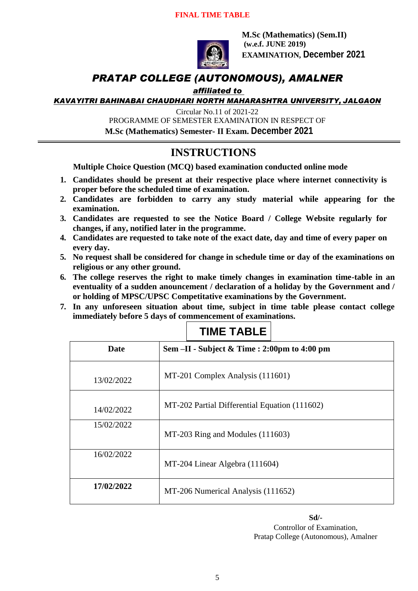#### **FINAL TIME TABLE**



**M.Sc (Mathematics) (Sem.II) (w.e.f. JUNE 2019) EXAMINATION, December 2021**

### *PRATAP COLLEGE (AUTONOMOUS), AMALNER*

#### *affiliated to*

*KAVAYITRI BAHINABAI CHAUDHARI NORTH MAHARASHTRA UNIVERSITY, JALGAON*

Circular No.11 of 2021-22

PROGRAMME OF SEMESTER EXAMINATION IN RESPECT OF

 **M.Sc (Mathematics) Semester- II Exam. December 2021**

#### **INSTRUCTIONS**

**Multiple Choice Question (MCQ) based examination conducted online mode**

- **1. Candidates should be present at their respective place where internet connectivity is proper before the scheduled time of examination.**
- **2. Candidates are forbidden to carry any study material while appearing for the examination.**
- **3. Candidates are requested to see the Notice Board / College Website regularly for changes, if any, notified later in the programme.**
- **4. Candidates are requested to take note of the exact date, day and time of every paper on every day.**
- **5. No request shall be considered for change in schedule time or day of the examinations on religious or any other ground.**
- **6. The college reserves the right to make timely changes in examination time-table in an eventuality of a sudden anouncement / declaration of a holiday by the Government and / or holding of MPSC/UPSC Competitative examinations by the Government.**
- **7. In any unforeseen situation about time, subject in time table please contact college immediately before 5 days of commencement of examinations.**

| Date       | Sem -II - Subject & Time : 2:00pm to 4:00 pm  |
|------------|-----------------------------------------------|
| 13/02/2022 | MT-201 Complex Analysis (111601)              |
| 14/02/2022 | MT-202 Partial Differential Equation (111602) |
| 15/02/2022 | MT-203 Ring and Modules (111603)              |
| 16/02/2022 | MT-204 Linear Algebra (111604)                |
| 17/02/2022 | MT-206 Numerical Analysis (111652)            |

# **TIME TABLE**

**Sd/-**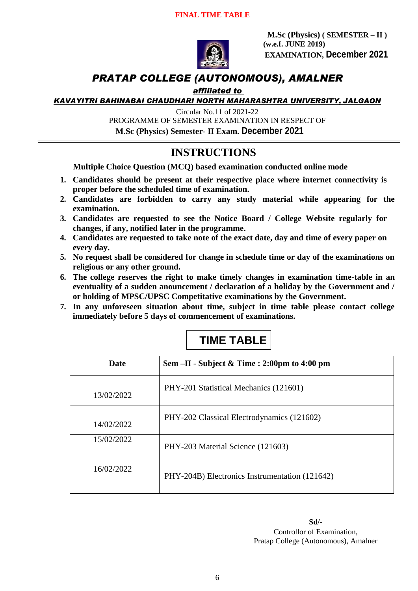

**M.Sc (Physics) ( SEMESTER – II ) (w.e.f. JUNE 2019) EXAMINATION, December 2021**

### *PRATAP COLLEGE (AUTONOMOUS), AMALNER*

#### *affiliated to*

*KAVAYITRI BAHINABAI CHAUDHARI NORTH MAHARASHTRA UNIVERSITY, JALGAON*

Circular No.11 of 2021-22

PROGRAMME OF SEMESTER EXAMINATION IN RESPECT OF

**M.Sc (Physics) Semester- II Exam. December 2021**

### **INSTRUCTIONS**

**Multiple Choice Question (MCQ) based examination conducted online mode**

- **1. Candidates should be present at their respective place where internet connectivity is proper before the scheduled time of examination.**
- **2. Candidates are forbidden to carry any study material while appearing for the examination.**
- **3. Candidates are requested to see the Notice Board / College Website regularly for changes, if any, notified later in the programme.**
- **4. Candidates are requested to take note of the exact date, day and time of every paper on every day.**
- **5. No request shall be considered for change in schedule time or day of the examinations on religious or any other ground.**
- **6. The college reserves the right to make timely changes in examination time-table in an eventuality of a sudden anouncement / declaration of a holiday by the Government and / or holding of MPSC/UPSC Competitative examinations by the Government.**
- **7. In any unforeseen situation about time, subject in time table please contact college immediately before 5 days of commencement of examinations.**

| <b>Date</b> | Sem -II - Subject & Time : 2:00pm to 4:00 pm   |
|-------------|------------------------------------------------|
| 13/02/2022  | PHY-201 Statistical Mechanics (121601)         |
| 14/02/2022  | PHY-202 Classical Electrodynamics (121602)     |
| 15/02/2022  | PHY-203 Material Science (121603)              |
| 16/02/2022  | PHY-204B) Electronics Instrumentation (121642) |

# **TIME TABLE**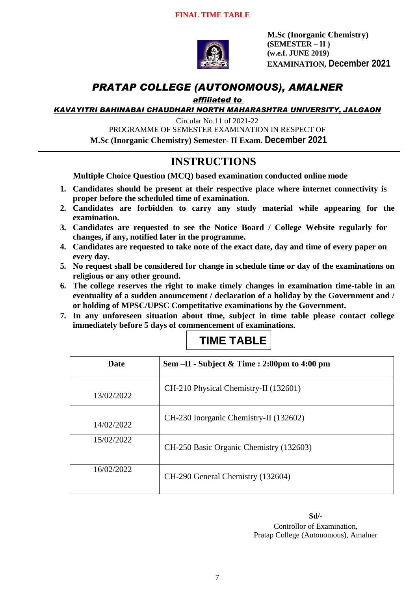

**M.Sc (Inorganic Chemistry) (SEMESTER – II ) (w.e.f. JUNE 2019) EXAMINATION, December 2021**

### *PRATAP COLLEGE (AUTONOMOUS), AMALNER*

*affiliated to* 

*KAVAYITRI BAHINABAI CHAUDHARI NORTH MAHARASHTRA UNIVERSITY, JALGAON*

Circular No.11 of 2021-22 PROGRAMME OF SEMESTER EXAMINATION IN RESPECT OF **M.Sc (Inorganic Chemistry) Semester- II Exam. December 2021**

# **INSTRUCTIONS**

**Multiple Choice Question (MCQ) based examination conducted online mode**

- **1. Candidates should be present at their respective place where internet connectivity is proper before the scheduled time of examination.**
- **2. Candidates are forbidden to carry any study material while appearing for the examination.**
- **3. Candidates are requested to see the Notice Board / College Website regularly for changes, if any, notified later in the programme.**
- **4. Candidates are requested to take note of the exact date, day and time of every paper on every day.**
- **5. No request shall be considered for change in schedule time or day of the examinations on religious or any other ground.**
- **6. The college reserves the right to make timely changes in examination time-table in an eventuality of a sudden anouncement / declaration of a holiday by the Government and / or holding of MPSC/UPSC Competitative examinations by the Government.**
- **7. In any unforeseen situation about time, subject in time table please contact college immediately before 5 days of commencement of examinations.**

| <b>Date</b> | Sem $-II -$ Subject & Time : 2:00pm to 4:00 pm |
|-------------|------------------------------------------------|
| 13/02/2022  | CH-210 Physical Chemistry-II (132601)          |
| 14/02/2022  | CH-230 Inorganic Chemistry-II (132602)         |
| 15/02/2022  | CH-250 Basic Organic Chemistry (132603)        |
| 16/02/2022  | CH-290 General Chemistry (132604)              |

## **TIME TABLE**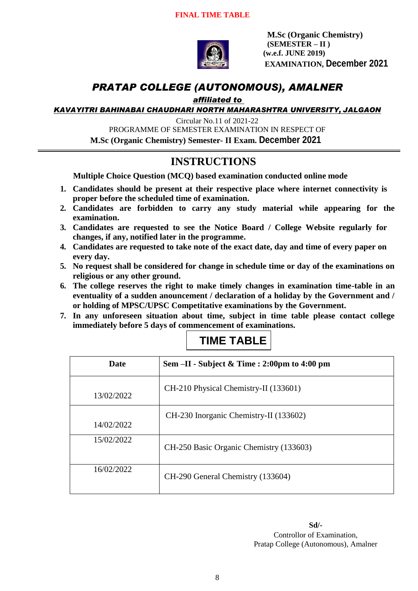

**M.Sc (Organic Chemistry) (SEMESTER – II ) (w.e.f. JUNE 2019) EXAMINATION, December 2021**

### *PRATAP COLLEGE (AUTONOMOUS), AMALNER*

*affiliated to* 

*KAVAYITRI BAHINABAI CHAUDHARI NORTH MAHARASHTRA UNIVERSITY, JALGAON*

Circular No.11 of 2021-22

PROGRAMME OF SEMESTER EXAMINATION IN RESPECT OF

**M.Sc (Organic Chemistry) Semester- II Exam. December 2021**

## **INSTRUCTIONS**

**Multiple Choice Question (MCQ) based examination conducted online mode**

- **1. Candidates should be present at their respective place where internet connectivity is proper before the scheduled time of examination.**
- **2. Candidates are forbidden to carry any study material while appearing for the examination.**
- **3. Candidates are requested to see the Notice Board / College Website regularly for changes, if any, notified later in the programme.**
- **4. Candidates are requested to take note of the exact date, day and time of every paper on every day.**
- **5. No request shall be considered for change in schedule time or day of the examinations on religious or any other ground.**
- **6. The college reserves the right to make timely changes in examination time-table in an eventuality of a sudden anouncement / declaration of a holiday by the Government and / or holding of MPSC/UPSC Competitative examinations by the Government.**
- **7. In any unforeseen situation about time, subject in time table please contact college immediately before 5 days of commencement of examinations.**

| <b>Date</b> | Sem -II - Subject & Time : 2:00pm to 4:00 pm |
|-------------|----------------------------------------------|
| 13/02/2022  | CH-210 Physical Chemistry-II (133601)        |
| 14/02/2022  | CH-230 Inorganic Chemistry-II (133602)       |
| 15/02/2022  | CH-250 Basic Organic Chemistry (133603)      |
| 16/02/2022  | CH-290 General Chemistry (133604)            |

## **TIME TABLE**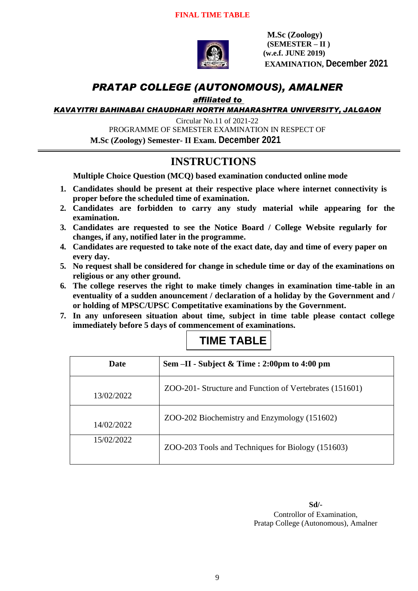

**M.Sc (Zoology) (SEMESTER – II ) (w.e.f. JUNE 2019) EXAMINATION, December 2021**

### *PRATAP COLLEGE (AUTONOMOUS), AMALNER*

*affiliated to* 

*KAVAYITRI BAHINABAI CHAUDHARI NORTH MAHARASHTRA UNIVERSITY, JALGAON*

Circular No.11 of 2021-22 PROGRAMME OF SEMESTER EXAMINATION IN RESPECT OF **M.Sc (Zoology) Semester- II Exam. December 2021**

# **INSTRUCTIONS**

**Multiple Choice Question (MCQ) based examination conducted online mode**

- **1. Candidates should be present at their respective place where internet connectivity is proper before the scheduled time of examination.**
- **2. Candidates are forbidden to carry any study material while appearing for the examination.**
- **3. Candidates are requested to see the Notice Board / College Website regularly for changes, if any, notified later in the programme.**
- **4. Candidates are requested to take note of the exact date, day and time of every paper on every day.**
- **5. No request shall be considered for change in schedule time or day of the examinations on religious or any other ground.**
- **6. The college reserves the right to make timely changes in examination time-table in an eventuality of a sudden anouncement / declaration of a holiday by the Government and / or holding of MPSC/UPSC Competitative examinations by the Government.**
- **7. In any unforeseen situation about time, subject in time table please contact college immediately before 5 days of commencement of examinations.**

| <b>Date</b> | Sem $-II$ - Subject & Time : 2:00pm to 4:00 pm          |
|-------------|---------------------------------------------------------|
| 13/02/2022  | ZOO-201- Structure and Function of Vertebrates (151601) |
| 14/02/2022  | ZOO-202 Biochemistry and Enzymology (151602)            |
| 15/02/2022  | ZOO-203 Tools and Techniques for Biology (151603)       |

# **TIME TABLE**